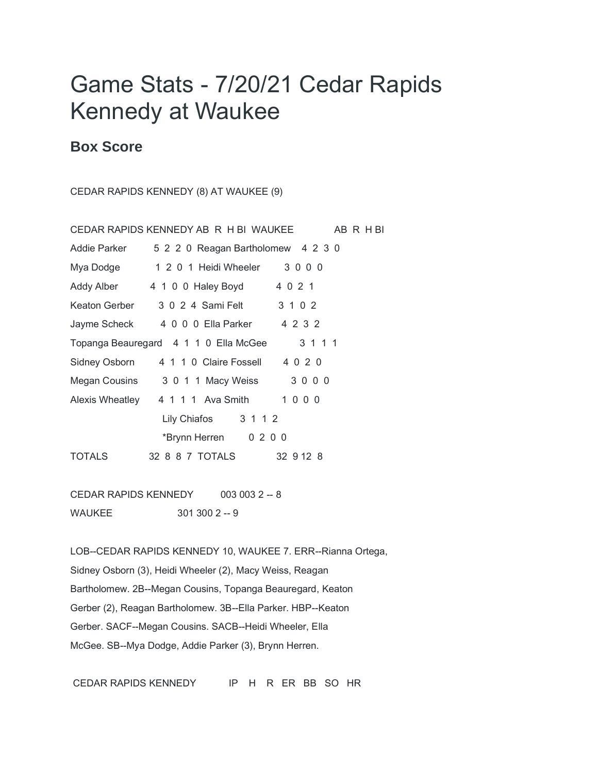## Game Stats - 7/20/21 Cedar Rapids Kennedy at Waukee

## **Box Score**

CEDAR RAPIDS KENNEDY (8) AT WAUKEE (9)

|                                                  | CEDAR RAPIDS KENNEDY AB R H BI WAUKEE     |           | ABRHBI |
|--------------------------------------------------|-------------------------------------------|-----------|--------|
| Addie Parker                                     | 5 2 2 0 Reagan Bartholomew 4 2 3 0        |           |        |
| Mya Dodge                                        | 1 2 0 1 Heidi Wheeler 3 0 0 0             |           |        |
|                                                  | Addy Alber 4 1 0 0 Haley Boyd             | 4 0 2 1   |        |
| Keaton Gerber                                    | 3 0 2 4 Sami Felt                         | 3 1 0 2   |        |
|                                                  | Jayme Scheck 4 0 0 0 Ella Parker 4 2 3 2  |           |        |
| 3 1 1 1<br>Topanga Beauregard 4 1 1 0 Ella McGee |                                           |           |        |
| Sidney Osborn                                    | 4 1 1 0 Claire Fossell 4 0 2 0            |           |        |
|                                                  | Megan Cousins 3 0 1 1 Macy Weiss 3 0 0 0  |           |        |
|                                                  | Alexis Wheatley 4 1 1 1 Ava Smith 1 0 0 0 |           |        |
|                                                  | Lily Chiafos 3 1 1 2                      |           |        |
|                                                  | *Brynn Herren 0 2 0 0                     |           |        |
| <b>TOTALS</b>                                    | 32 8 8 7 TOTALS                           | 32 9 12 8 |        |

CEDAR RAPIDS KENNEDY 003 003 2 -- 8 WAUKEE 301 300 2 -- 9

LOB--CEDAR RAPIDS KENNEDY 10, WAUKEE 7. ERR--Rianna Ortega, Sidney Osborn (3), Heidi Wheeler (2), Macy Weiss, Reagan Bartholomew. 2B--Megan Cousins, Topanga Beauregard, Keaton Gerber (2), Reagan Bartholomew. 3B--Ella Parker. HBP--Keaton Gerber. SACF--Megan Cousins. SACB--Heidi Wheeler, Ella McGee. SB--Mya Dodge, Addie Parker (3), Brynn Herren.

CEDAR RAPIDS KENNEDY IP H R ER BB SO HR